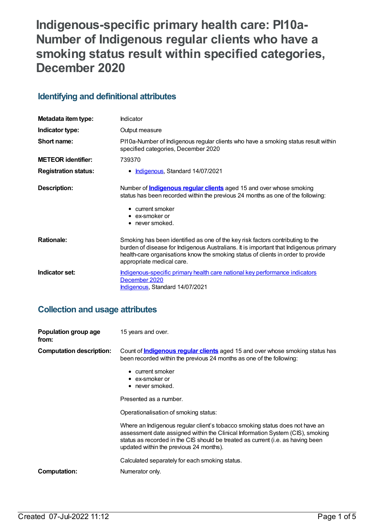# **Indigenous-specific primary health care: PI10a-Number of Indigenous regular clients who have a smoking status result within specified categories, December 2020**

### **Identifying and definitional attributes**

| Metadata item type:         | Indicator                                                                                                                                                                                                                                                                                |
|-----------------------------|------------------------------------------------------------------------------------------------------------------------------------------------------------------------------------------------------------------------------------------------------------------------------------------|
| Indicator type:             | Output measure                                                                                                                                                                                                                                                                           |
| Short name:                 | PI10a-Number of Indigenous regular clients who have a smoking status result within<br>specified categories, December 2020                                                                                                                                                                |
| <b>METEOR identifier:</b>   | 739370                                                                                                                                                                                                                                                                                   |
| <b>Registration status:</b> | • <b>Indigenous</b> , Standard 14/07/2021                                                                                                                                                                                                                                                |
| Description:                | Number of <b>Indigenous regular clients</b> aged 15 and over whose smoking<br>status has been recorded within the previous 24 months as one of the following:<br>• current smoker<br>$\bullet$ ex-smoker or<br>$\bullet$ never smoked.                                                   |
| <b>Rationale:</b>           | Smoking has been identified as one of the key risk factors contributing to the<br>burden of disease for Indigenous Australians. It is important that Indigenous primary<br>health-care organisations know the smoking status of clients in order to provide<br>appropriate medical care. |
| Indicator set:              | Indigenous-specific primary health care national key performance indicators<br>December 2020<br>Indigenous, Standard 14/07/2021                                                                                                                                                          |

### **Collection and usage attributes**

| Population group age<br>from:   | 15 years and over.                                                                                                                                                                                                                                                                           |
|---------------------------------|----------------------------------------------------------------------------------------------------------------------------------------------------------------------------------------------------------------------------------------------------------------------------------------------|
| <b>Computation description:</b> | Count of <b>Indigenous regular clients</b> aged 15 and over whose smoking status has<br>been recorded within the previous 24 months as one of the following:<br>• current smoker<br>$\bullet$ ex-smoker or                                                                                   |
|                                 | • never smoked.                                                                                                                                                                                                                                                                              |
|                                 | Presented as a number.                                                                                                                                                                                                                                                                       |
|                                 | Operationalisation of smoking status:                                                                                                                                                                                                                                                        |
|                                 | Where an Indigenous regular client's tobacco smoking status does not have an<br>assessment date assigned within the Clinical Information System (CIS), smoking<br>status as recorded in the CIS should be treated as current (i.e. as having been<br>updated within the previous 24 months). |
|                                 | Calculated separately for each smoking status.                                                                                                                                                                                                                                               |
| Computation:                    | Numerator only.                                                                                                                                                                                                                                                                              |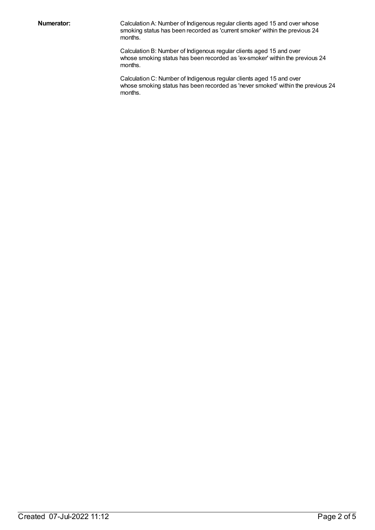**Numerator:** Calculation A: Number of Indigenous regular clients aged 15 and over whose smoking status has been recorded as 'current smoker' within the previous 24 months.

> Calculation B: Number of Indigenous regular clients aged 15 and over whose smoking status has been recorded as 'ex-smoker' within the previous 24 months.

Calculation C: Number of Indigenous regular clients aged 15 and over whose smoking status has been recorded as 'never smoked' within the previous 24 months.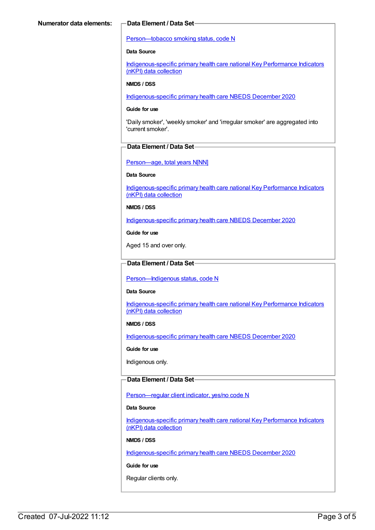#### [Person—tobacco](https://meteor.aihw.gov.au/content/270311) smoking status, code N

#### **Data Source**

[Indigenous-specific](https://meteor.aihw.gov.au/content/737914) primary health care national Key Performance Indicators (nKPI) data collection

#### **NMDS / DSS**

[Indigenous-specific](https://meteor.aihw.gov.au/content/738532) primary health care NBEDS December 2020

#### **Guide for use**

'Daily smoker', 'weekly smoker' and 'irregular smoker' are aggregated into 'current smoker'.

#### **Data Element / Data Set**

Person-age, total years N[NN]

**Data Source**

[Indigenous-specific](https://meteor.aihw.gov.au/content/737914) primary health care national Key Performance Indicators (nKPI) data collection

#### **NMDS / DSS**

[Indigenous-specific](https://meteor.aihw.gov.au/content/738532) primary health care NBEDS December 2020

**Guide for use**

Aged 15 and over only.

### **Data Element / Data Set**

Person-Indigenous status, code N

#### **Data Source**

[Indigenous-specific](https://meteor.aihw.gov.au/content/737914) primary health care national Key Performance Indicators (nKPI) data collection

#### **NMDS / DSS**

[Indigenous-specific](https://meteor.aihw.gov.au/content/738532) primary health care NBEDS December 2020

#### **Guide for use**

Indigenous only.

### **Data Element / Data Set**

[Person—regular](https://meteor.aihw.gov.au/content/686291) client indicator, yes/no code N

#### **Data Source**

[Indigenous-specific](https://meteor.aihw.gov.au/content/737914) primary health care national Key Performance Indicators (nKPI) data collection

#### **NMDS / DSS**

[Indigenous-specific](https://meteor.aihw.gov.au/content/738532) primary health care NBEDS December 2020

#### **Guide for use**

Regular clients only.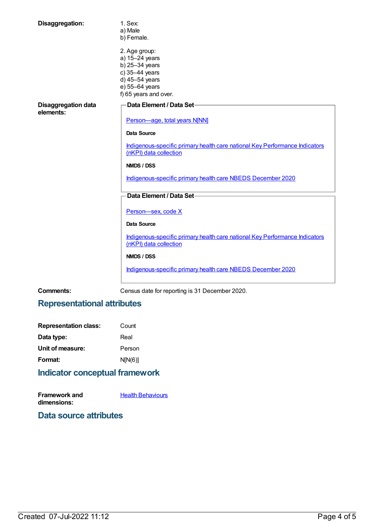| Disaggregation:                         | 1. Sex:<br>a) Male<br>b) Female.                                                                                                 |
|-----------------------------------------|----------------------------------------------------------------------------------------------------------------------------------|
|                                         | 2. Age group:<br>a) 15-24 years<br>b) 25-34 years<br>c) 35-44 years<br>d) 45-54 years<br>e) 55-64 years<br>f) 65 years and over. |
| <b>Disaggregation data</b><br>elements: | Data Element / Data Set-<br>Person-age, total years N[NN]                                                                        |
|                                         | <b>Data Source</b>                                                                                                               |
|                                         | Indigenous-specific primary health care national Key Performance Indicators<br>(nKPI) data collection                            |
|                                         | NMDS / DSS                                                                                                                       |
|                                         | Indigenous-specific primary health care NBEDS December 2020                                                                      |
|                                         | Data Element / Data Set-                                                                                                         |
|                                         | Person-sex, code X                                                                                                               |
|                                         | <b>Data Source</b>                                                                                                               |
|                                         | Indigenous-specific primary health care national Key Performance Indicators<br>(nKPI) data collection                            |
|                                         | NMDS / DSS                                                                                                                       |
|                                         | Indigenous-specific primary health care NBEDS December 2020                                                                      |

**Comments:** Census date for reporting is 31 December 2020.

## **Representational attributes**

| <b>Representation class:</b> | Count   |
|------------------------------|---------|
| Data type:                   | Real    |
| Unit of measure:             | Person  |
| Format:                      | N[N(6)] |
|                              |         |

# **Indicator conceptual framework**

| <b>Framework and</b> | <b>Health Behaviours</b> |
|----------------------|--------------------------|
| dimensions:          |                          |

## **Data source attributes**